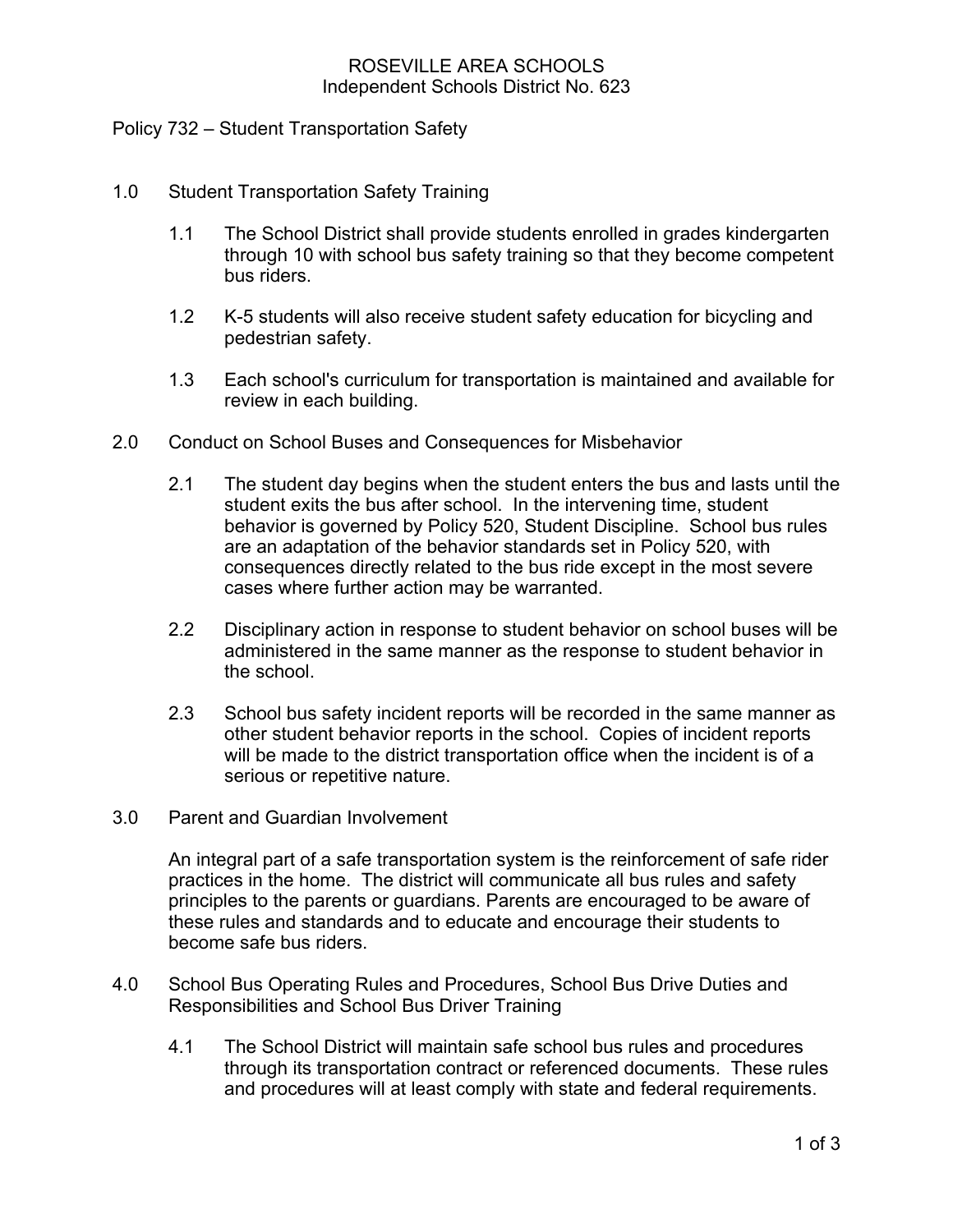## ROSEVILLE AREA SCHOOLS Independent Schools District No. 623

## Policy 732 – Student Transportation Safety

- 1.0 Student Transportation Safety Training
	- 1.1 The School District shall provide students enrolled in grades kindergarten through 10 with school bus safety training so that they become competent bus riders.
	- 1.2 K-5 students will also receive student safety education for bicycling and pedestrian safety.
	- 1.3 Each school's curriculum for transportation is maintained and available for review in each building.
- 2.0 Conduct on School Buses and Consequences for Misbehavior
	- 2.1 The student day begins when the student enters the bus and lasts until the student exits the bus after school. In the intervening time, student behavior is governed by Policy 520, Student Discipline. School bus rules are an adaptation of the behavior standards set in Policy 520, with consequences directly related to the bus ride except in the most severe cases where further action may be warranted.
	- 2.2 Disciplinary action in response to student behavior on school buses will be administered in the same manner as the response to student behavior in the school.
	- 2.3 School bus safety incident reports will be recorded in the same manner as other student behavior reports in the school. Copies of incident reports will be made to the district transportation office when the incident is of a serious or repetitive nature.
- 3.0 Parent and Guardian Involvement

An integral part of a safe transportation system is the reinforcement of safe rider practices in the home. The district will communicate all bus rules and safety principles to the parents or guardians. Parents are encouraged to be aware of these rules and standards and to educate and encourage their students to become safe bus riders.

- 4.0 School Bus Operating Rules and Procedures, School Bus Drive Duties and Responsibilities and School Bus Driver Training
	- 4.1 The School District will maintain safe school bus rules and procedures through its transportation contract or referenced documents. These rules and procedures will at least comply with state and federal requirements.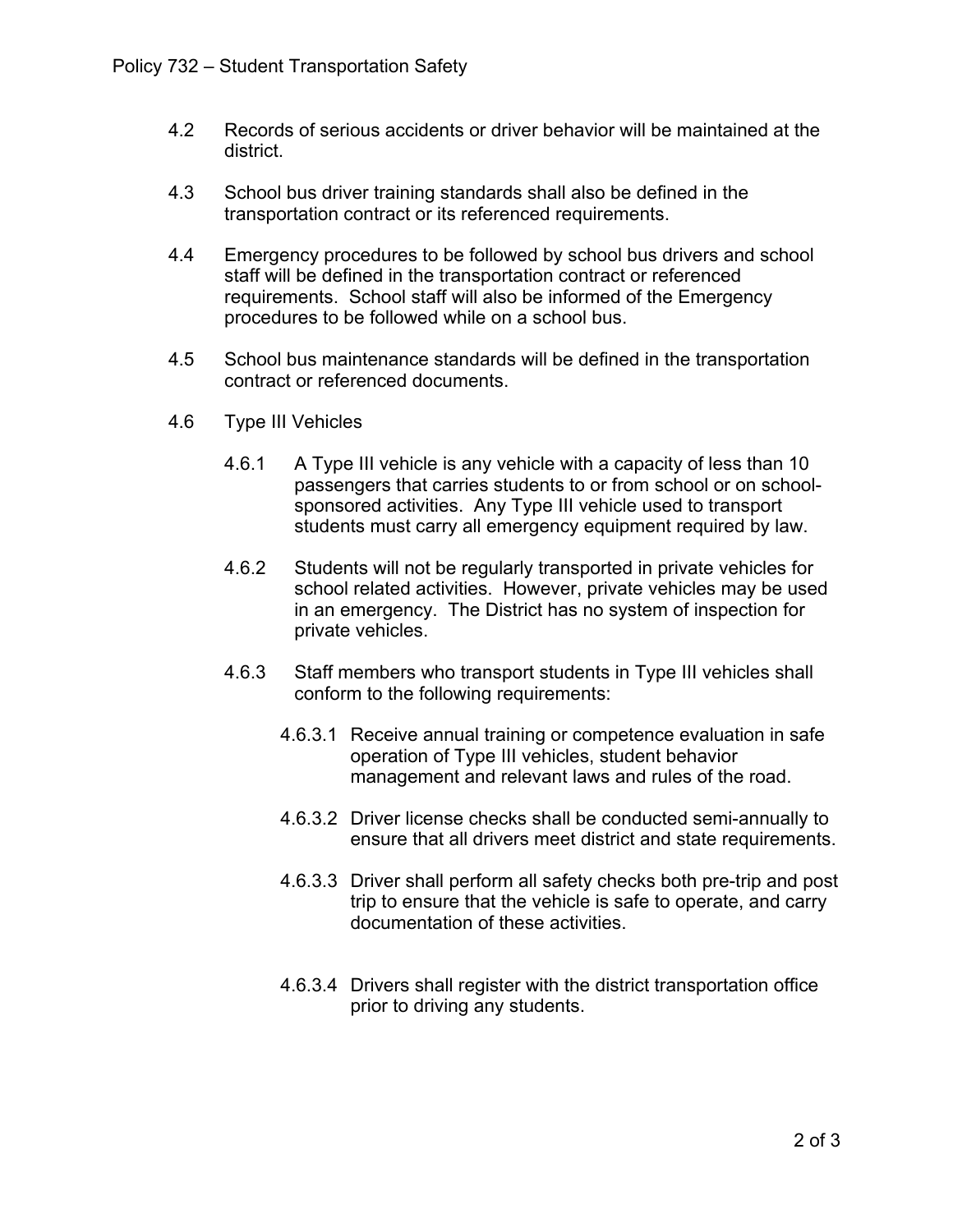- 4.2 Records of serious accidents or driver behavior will be maintained at the district.
- 4.3 School bus driver training standards shall also be defined in the transportation contract or its referenced requirements.
- 4.4 Emergency procedures to be followed by school bus drivers and school staff will be defined in the transportation contract or referenced requirements. School staff will also be informed of the Emergency procedures to be followed while on a school bus.
- 4.5 School bus maintenance standards will be defined in the transportation contract or referenced documents.
- 4.6 Type III Vehicles
	- 4.6.1 A Type III vehicle is any vehicle with a capacity of less than 10 passengers that carries students to or from school or on schoolsponsored activities. Any Type III vehicle used to transport students must carry all emergency equipment required by law.
	- 4.6.2 Students will not be regularly transported in private vehicles for school related activities. However, private vehicles may be used in an emergency. The District has no system of inspection for private vehicles.
	- 4.6.3 Staff members who transport students in Type III vehicles shall conform to the following requirements:
		- 4.6.3.1 Receive annual training or competence evaluation in safe operation of Type III vehicles, student behavior management and relevant laws and rules of the road.
		- 4.6.3.2 Driver license checks shall be conducted semi-annually to ensure that all drivers meet district and state requirements.
		- 4.6.3.3 Driver shall perform all safety checks both pre-trip and post trip to ensure that the vehicle is safe to operate, and carry documentation of these activities.
		- 4.6.3.4 Drivers shall register with the district transportation office prior to driving any students.